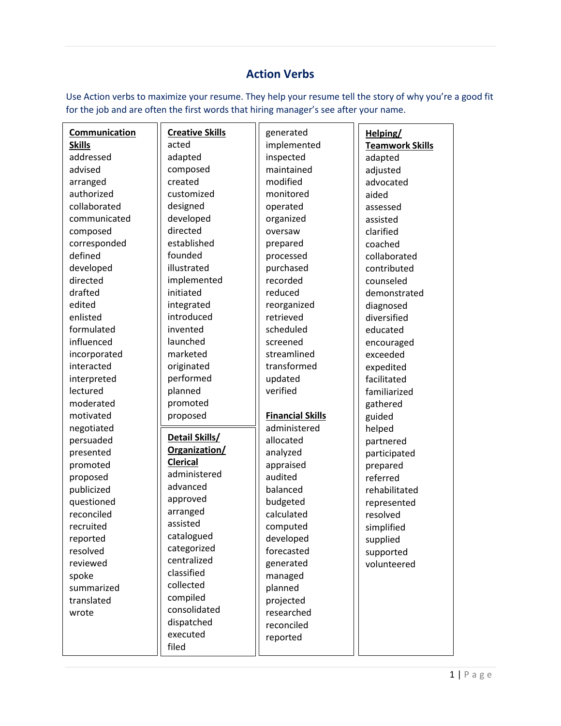## **Action Verbs**

Use Action verbs to maximize your resume. They help your resume tell the story of why you're a good fit for the job and are often the first words that hiring manager's see after your name.

| Communication | <b>Creative Skills</b> | generated               | Helping/               |
|---------------|------------------------|-------------------------|------------------------|
| <b>Skills</b> | acted                  | implemented             | <b>Teamwork Skills</b> |
| addressed     | adapted                | inspected               | adapted                |
| advised       | composed               | maintained              | adjusted               |
| arranged      | created                | modified                | advocated              |
| authorized    | customized             | monitored               | aided                  |
| collaborated  | designed               | operated                | assessed               |
| communicated  | developed              | organized               | assisted               |
| composed      | directed               | oversaw                 | clarified              |
| corresponded  | established            | prepared                | coached                |
| defined       | founded                | processed               | collaborated           |
| developed     | illustrated            | purchased               | contributed            |
| directed      | implemented            | recorded                | counseled              |
| drafted       | initiated              | reduced                 | demonstrated           |
| edited        | integrated             | reorganized             | diagnosed              |
| enlisted      | introduced             | retrieved               | diversified            |
| formulated    | invented               | scheduled               | educated               |
| influenced    | launched               | screened                | encouraged             |
| incorporated  | marketed               | streamlined             | exceeded               |
| interacted    | originated             | transformed             | expedited              |
| interpreted   | performed              | updated                 | facilitated            |
| lectured      | planned                | verified                | familiarized           |
| moderated     | promoted               |                         | gathered               |
| motivated     | proposed               | <b>Financial Skills</b> | guided                 |
| negotiated    |                        | administered            | helped                 |
| persuaded     | Detail Skills/         | allocated               | partnered              |
| presented     | Organization/          | analyzed                | participated           |
| promoted      | <b>Clerical</b>        | appraised               | prepared               |
| proposed      | administered           | audited                 | referred               |
| publicized    | advanced               | balanced                | rehabilitated          |
| questioned    | approved               | budgeted                | represented            |
| reconciled    | arranged               | calculated              | resolved               |
| recruited     | assisted               | computed                | simplified             |
| reported      | catalogued             | developed               | supplied               |
| resolved      | categorized            | forecasted              | supported              |
| reviewed      | centralized            | generated               | volunteered            |
| spoke         | classified             | managed                 |                        |
| summarized    | collected              | planned                 |                        |
| translated    | compiled               | projected               |                        |
| wrote         | consolidated           | researched              |                        |
|               | dispatched             | reconciled              |                        |
|               | executed               | reported                |                        |
|               | filed                  |                         |                        |